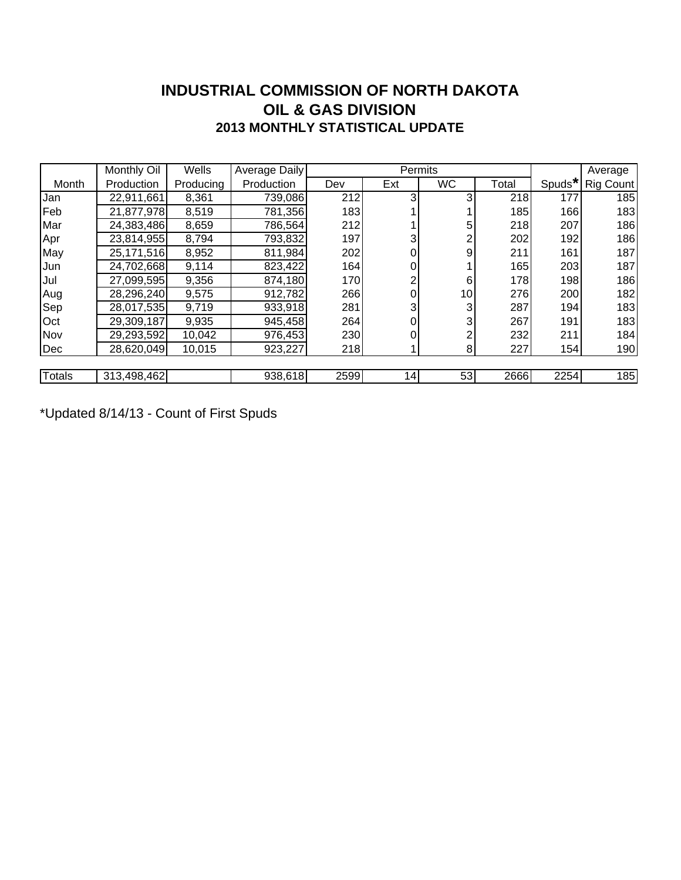### **INDUSTRIAL COMMISSION OF NORTH DAKOTA 2013 MONTHLY STATISTICAL UPDATE OIL & GAS DIVISION**

|               | Monthly Oil | Wells     | Average Daily |      | Permits |           | Average |        |           |
|---------------|-------------|-----------|---------------|------|---------|-----------|---------|--------|-----------|
| Month         | Production  | Producing | Production    | Dev  | Ext     | <b>WC</b> | Total   | Spuds* | Rig Count |
| Jan           | 22,911,661  | 8,361     | 739,086       | 212  | 3       |           | 218     | 177    | 185       |
| Feb           | 21,877,978  | 8,519     | 781,356       | 183  |         |           | 185     | 166    | 183       |
| Mar           | 24,383,486  | 8,659     | 786,564       | 212  |         |           | 218     | 207    | 186       |
| Apr           | 23,814,955  | 8,794     | 793,832       | 197  |         |           | 202     | 192    | 186       |
| May           | 25,171,516  | 8,952     | 811,984       | 202  |         | 9         | 211     | 161    | 187       |
| Jun           | 24,702,668  | 9,114     | 823,422       | 164  |         |           | 165     | 203    | 187       |
| Jul           | 27,099,595  | 9,356     | 874,180       | 170  |         | 6         | 178     | 198    | 186       |
| Aug           | 28,296,240  | 9,575     | 912,782       | 266  |         | 10        | 276     | 200    | 182       |
| Sep           | 28,017,535  | 9,719     | 933,918       | 281  |         |           | 287     | 194    | 183       |
| Oct           | 29,309,187  | 9,935     | 945,458       | 264  |         |           | 267     | 191    | 183       |
| Nov           | 29,293,592  | 10,042    | 976,453       | 230  |         |           | 232     | 211    | 184       |
| Dec           | 28,620,049  | 10,015    | 923,227       | 218  |         | 8         | 227     | 154    | 190       |
|               |             |           |               |      |         |           |         |        |           |
| <b>Totals</b> | 313,498,462 |           | 938,618       | 2599 | 14      | 53        | 2666    | 2254   | 185       |

\*Updated 8/14/13 - Count of First Spuds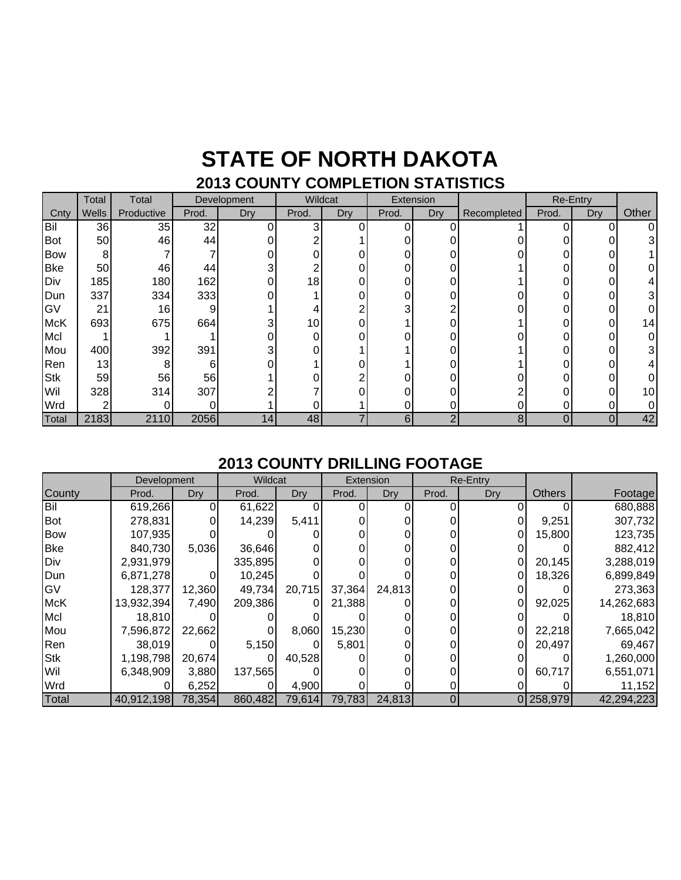### **STATE OF NORTH DAKOTA 2013 COUNTY COMPLETION STATISTICS**

|            | Total | Total      | Development |     | Wildcat  |     | Extension |     |             | Re-Entry |     |                 |
|------------|-------|------------|-------------|-----|----------|-----|-----------|-----|-------------|----------|-----|-----------------|
| Cnty       | Wells | Productive | Prod.       | Dry | Prod.    | Dry | Prod.     | Dry | Recompleted | Prod.    | Dry | Other           |
| Bil        | 36    | 35         | 32          |     | 3        |     | O         |     |             |          |     |                 |
| Bot        | 50    | 46         | 44          |     | ◠        |     | 0         |     |             |          |     |                 |
| <b>Bow</b> | 8     |            |             |     | 0        | 0   | 0         |     |             |          | ი   |                 |
| <b>Bke</b> | 50    | 46         | 44          |     | ◠        |     | 0         |     |             |          |     |                 |
| Div        | 185   | 180        | 162         |     | 18       |     | 0         |     |             |          | 0   |                 |
| Dun        | 337   | 334        | 333         |     |          |     | 0         |     |             |          |     |                 |
| GV         | 21    | 16         | 9           |     |          | ⌒   | 3         |     |             |          |     |                 |
| <b>McK</b> | 693   | 675        | 664         |     | 10       | 0   |           |     |             |          | 0   | 14I             |
| Mcl        |       |            |             |     | 0        | 0   |           |     |             |          | 0   |                 |
| Mou        | 400   | 392        | 391         | 3   | $\Omega$ |     |           |     |             |          | ი   |                 |
| Ren        | 13    | 8          | 6           |     |          |     |           |     |             |          | ი   |                 |
| <b>Stk</b> | 59    | 56         | 56          |     | ሰ        |     |           |     |             |          |     |                 |
| Wil        | 328   | 314        | 307         |     |          |     |           |     | ∩           |          |     | 10 <sub>l</sub> |
| Wrd        | ◠     |            | 0           |     |          |     | 0         |     | 0           |          |     |                 |
| Total      | 2183  | 2110       | 2056        | 14  | 48       |     | 6         | 2   | 8           | 0        | 0   | 42              |

#### **2013 COUNTY DRILLING FOOTAGE**

|            | <b>Development</b> |        | Wildcat |        |        | Extension | <b>Re-Entry</b> |     |               |            |
|------------|--------------------|--------|---------|--------|--------|-----------|-----------------|-----|---------------|------------|
| County     | Prod.              | Dry    | Prod.   | Dry    | Prod.  | Dry       | Prod.           | Dry | <b>Others</b> | Footage    |
| Bil        | 619,266            |        | 61,622  |        |        |           |                 |     |               | 680,888    |
| <b>Bot</b> | 278,831            |        | 14,239  | 5,411  |        |           |                 |     | 9,251         | 307,732    |
| <b>Bow</b> | 107,935            |        |         |        |        |           |                 | O   | 15,800        | 123,735    |
| <b>Bke</b> | 840,730            | 5,036  | 36,646  |        |        |           |                 |     |               | 882,412    |
| Div        | 2,931,979          |        | 335,895 |        |        |           |                 |     | 20,145        | 3,288,019  |
| Dun        | 6,871,278          |        | 10,245  |        |        |           |                 |     | 18,326        | 6,899,849  |
| GV         | 128,377            | 12,360 | 49,734  | 20,715 | 37,364 | 24,813    |                 |     |               | 273,363    |
| <b>McK</b> | 13,932,394         | 7,490  | 209,386 | 0      | 21,388 |           |                 |     | 92,025        | 14,262,683 |
| Mcl        | 18,810             |        |         |        |        |           |                 |     |               | 18,810     |
| Mou        | 7,596,872          | 22,662 |         | 8,060  | 15,230 |           |                 |     | 22,218        | 7,665,042  |
| Ren        | 38,019             |        | 5,150   |        | 5,801  |           |                 |     | 20,497        | 69,467     |
| <b>Stk</b> | 1,198,798          | 20,674 |         | 40,528 |        |           |                 |     |               | 1,260,000  |
| Wil        | 6,348,909          | 3,880  | 137,565 |        |        |           |                 |     | 60,717        | 6,551,071  |
| Wrd        |                    | 6,252  |         | 4,900  |        |           |                 |     |               | 11,152     |
| Total      | 40,912,198         | 78,354 | 860,482 | 79,614 | 79,783 | 24,813    |                 |     | 0 258,979     | 42,294,223 |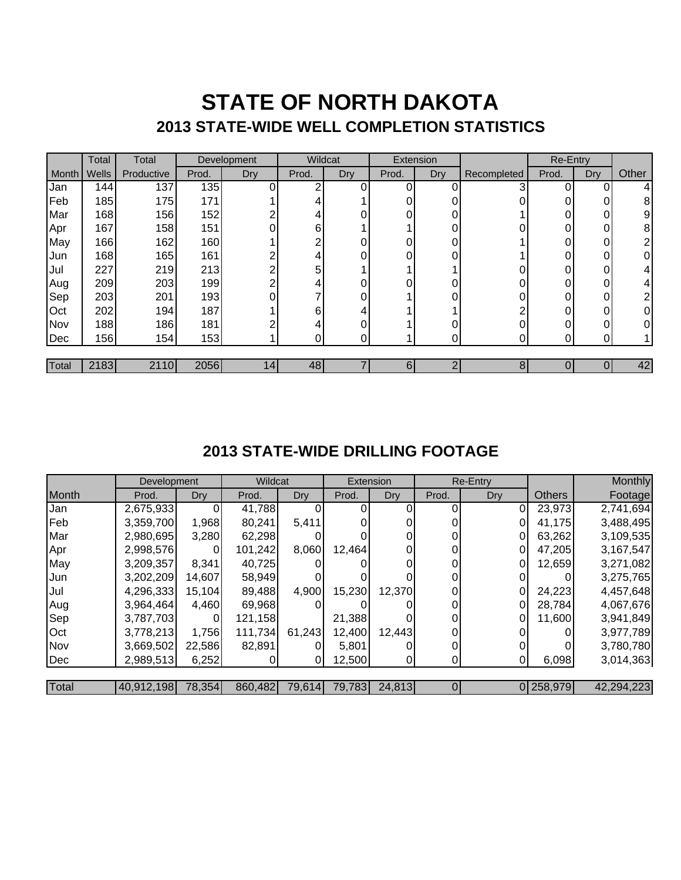## **STATE OF NORTH DAKOTA 2013 STATE-WIDE WELL COMPLETION STATISTICS**

|       | Total | Total      |       | Development     | Wildcat |     | Extension |            |             | <b>Re-Entry</b> |     |       |
|-------|-------|------------|-------|-----------------|---------|-----|-----------|------------|-------------|-----------------|-----|-------|
| Month | Wells | Productive | Prod. | Dry             | Prod.   | Dry | Prod.     | <b>Dry</b> | Recompleted | Prod.           | Dry | Other |
| Jan   | 144   | 137        | 135   |                 | ◠       |     | 0         |            |             | 0               |     | 4     |
| Feb   | 185   | 175        | 171   |                 |         |     |           |            |             | $\Omega$        | 0   | 8     |
| Mar   | 168   | 156        | 152   | ົ               |         |     |           |            |             | 0               | 0   | 9     |
| Apr   | 167   | 158        | 151   | 0               | 6       |     |           |            |             | 0               | 0   | 8     |
| May   | 166   | 162        | 160   |                 |         |     |           |            |             | 0               | 0   | າ     |
| Jun   | 168   | 165        | 161   | ⌒               |         | U   |           | ሰ          |             | $\Omega$        | 0   | 0     |
| Jul   | 227   | 219        | 213   | C               | 5       |     |           |            |             | 0               | 0   | 4     |
| Aug   | 209   | 203        | 199   | ⌒               |         |     |           |            |             | 0               | 0   | 4     |
| Sep   | 203   | 201        | 193   | 0               |         |     |           | ∩          |             | $\Omega$        | 0   | 2     |
| Oct   | 202   | 194        | 187   |                 | 6       |     |           |            |             | 0               | 0   | 0     |
| Nov   | 188   | 186        | 181   | ⌒               |         |     |           |            |             | 0               | 0   | 0     |
| Dec   | 156   | 154        | 153   |                 |         |     |           |            |             |                 | ი   |       |
|       |       |            |       |                 |         |     |           |            |             |                 |     |       |
| Total | 2183  | 2110       | 2056  | 14 <sub>1</sub> | 48      |     | 6         | ⌒          | 8           |                 |     | 42    |

### **2013 STATE-WIDE DRILLING FOOTAGE**

|            | Development |        | Wildcat |        | Extension     |        | Re-Entry |     |               | Monthly    |
|------------|-------------|--------|---------|--------|---------------|--------|----------|-----|---------------|------------|
| Month      | Prod.       | Dry    | Prod.   | Dry    | Prod.         | Dry    | Prod.    | Dry | <b>Others</b> | Footage    |
| Jan        | 2,675,933   |        | 41,788  |        |               |        |          | 0   | 23,973        | 2,741,694  |
| Feb        | 3,359,700   | 1,968  | 80,241  | 5,411  |               |        |          |     | 41,175        | 3,488,495  |
| Mar        | 2,980,695   | 3,280  | 62,298  |        |               |        |          |     | 63,262        | 3,109,535  |
| Apr        | 2,998,576   | 0      | 101,242 | 8,060  | 12,464        |        | 0        | 0   | 47,205        | 3,167,547  |
| May        | 3,209,357   | 8,341  | 40,725  |        |               |        | $\Omega$ |     | 12,659        | 3,271,082  |
| Jun        | 3,202,209   | 14,607 | 58,949  |        |               |        |          |     |               | 3,275,765  |
| Jul        | 4,296,333   | 15,104 | 89,488  | 4,900  | 15,230        | 12,370 | $\Omega$ | 0   | 24,223        | 4,457,648  |
| Aug        | 3,964,464   | 4,460  | 69,968  |        |               |        | $\Omega$ |     | 28,784        | 4,067,676  |
| Sep        | 3,787,703   |        | 121,158 |        | 21,388        |        |          |     | 11,600        | 3,941,849  |
| <b>Oct</b> | 3,778,213   | 1,756  | 111,734 | 61,243 | 12,400        | 12,443 | $\Omega$ |     |               | 3,977,789  |
| Nov        | 3,669,502   | 22,586 | 82,891  |        | 5,801         |        | 0        |     |               | 3,780,780  |
| Dec        | 2,989,513   | 6,252  |         |        | 12,500        |        | 0        |     | 6,098         | 3,014,363  |
|            |             |        |         |        |               |        |          |     |               |            |
| Total      | 40,912,198  | 78,354 | 860,482 |        | 79,614 79,783 | 24,813 | 0        |     | 0 258,979     | 42,294,223 |